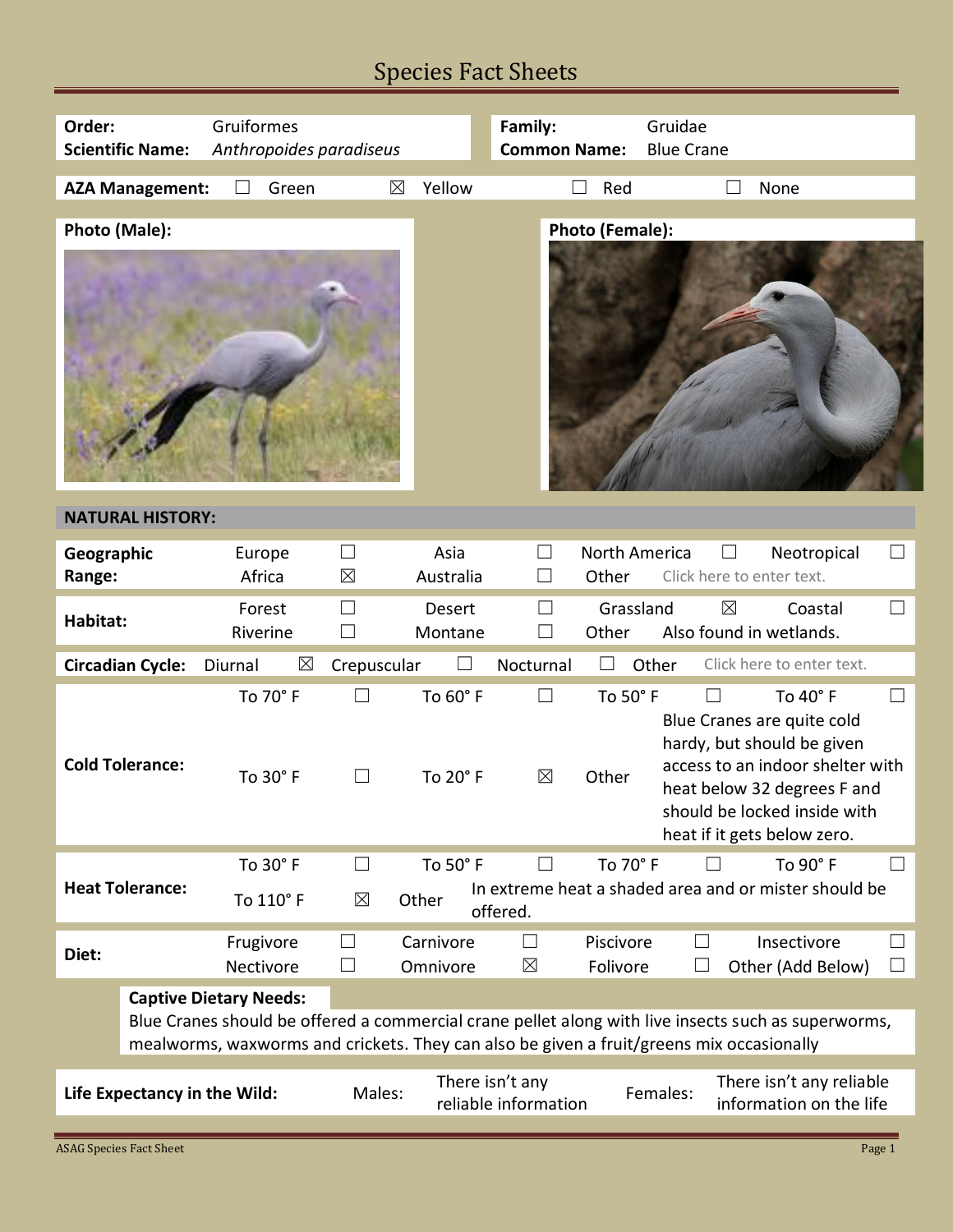## Species Fact Sheets

| Order:                                                                                                                                                                                          | Gruiformes                    |                         | Family:                                 |                        | Gruidae                                  |                                                                                                                                                              |  |
|-------------------------------------------------------------------------------------------------------------------------------------------------------------------------------------------------|-------------------------------|-------------------------|-----------------------------------------|------------------------|------------------------------------------|--------------------------------------------------------------------------------------------------------------------------------------------------------------|--|
| <b>Scientific Name:</b>                                                                                                                                                                         |                               | Anthropoides paradiseus |                                         |                        | <b>Common Name:</b><br><b>Blue Crane</b> |                                                                                                                                                              |  |
|                                                                                                                                                                                                 |                               |                         |                                         |                        |                                          |                                                                                                                                                              |  |
| <b>AZA Management:</b>                                                                                                                                                                          | Green<br>$\Box$               | $\boxtimes$             | Yellow                                  | Red                    |                                          | None                                                                                                                                                         |  |
| Photo (Male):                                                                                                                                                                                   |                               |                         |                                         | Photo (Female):        |                                          |                                                                                                                                                              |  |
|                                                                                                                                                                                                 |                               |                         |                                         |                        |                                          |                                                                                                                                                              |  |
| <b>NATURAL HISTORY:</b>                                                                                                                                                                         |                               |                         |                                         |                        |                                          |                                                                                                                                                              |  |
| Geographic<br>Range:                                                                                                                                                                            | Europe<br>Africa              | $\Box$<br>$\boxtimes$   | Asia<br>$\Box$<br>Australia             | North America<br>Other | $\sqcup$<br>Click here to enter text.    | $\Box$<br>Neotropical                                                                                                                                        |  |
| Habitat:                                                                                                                                                                                        | Forest<br>Riverine            | П                       | П<br><b>Desert</b><br>Montane           | Grassland<br>Other     | $\boxtimes$                              | Coastal<br>$\Box$<br>Also found in wetlands.                                                                                                                 |  |
| <b>Circadian Cycle:</b>                                                                                                                                                                         | $\boxtimes$<br>Diurnal        | Crepuscular             | Nocturnal<br>$\Box$                     | $\Box$                 | Other                                    | Click here to enter text.                                                                                                                                    |  |
|                                                                                                                                                                                                 | To 70° F                      |                         | To 60° F                                | To 50° F               |                                          | To 40° F<br>Blue Cranes are quite cold                                                                                                                       |  |
| <b>Cold Tolerance:</b>                                                                                                                                                                          | To 30° F                      | $\Box$                  | $\boxtimes$<br>To 20° F                 | Other                  |                                          | hardy, but should be given<br>access to an indoor shelter with<br>heat below 32 degrees F and<br>should be locked inside with<br>heat if it gets below zero. |  |
|                                                                                                                                                                                                 | To 30° F                      | $\vert \ \ \vert$       | To 50° F                                | To 70° F               |                                          | To 90° F<br>$\mathbf{L}$                                                                                                                                     |  |
| <b>Heat Tolerance:</b>                                                                                                                                                                          | To 110° F                     | $\boxtimes$<br>Other    | offered.                                |                        |                                          | In extreme heat a shaded area and or mister should be                                                                                                        |  |
| Diet:                                                                                                                                                                                           | Frugivore<br>Nectivore        |                         | Carnivore<br>$\boxtimes$<br>Omnivore    | Piscivore<br>Folivore  |                                          | Insectivore<br>ப<br>Other (Add Below)                                                                                                                        |  |
|                                                                                                                                                                                                 | <b>Captive Dietary Needs:</b> |                         |                                         |                        |                                          |                                                                                                                                                              |  |
| Blue Cranes should be offered a commercial crane pellet along with live insects such as superworms,<br>mealworms, waxworms and crickets. They can also be given a fruit/greens mix occasionally |                               |                         |                                         |                        |                                          |                                                                                                                                                              |  |
| Life Expectancy in the Wild:                                                                                                                                                                    |                               | Males:                  | There isn't any<br>reliable information |                        | Females:                                 | There isn't any reliable<br>information on the life                                                                                                          |  |
|                                                                                                                                                                                                 |                               |                         |                                         |                        |                                          |                                                                                                                                                              |  |
| <b>ASAG Species Fact Sheet</b>                                                                                                                                                                  |                               |                         |                                         |                        |                                          | Page 1                                                                                                                                                       |  |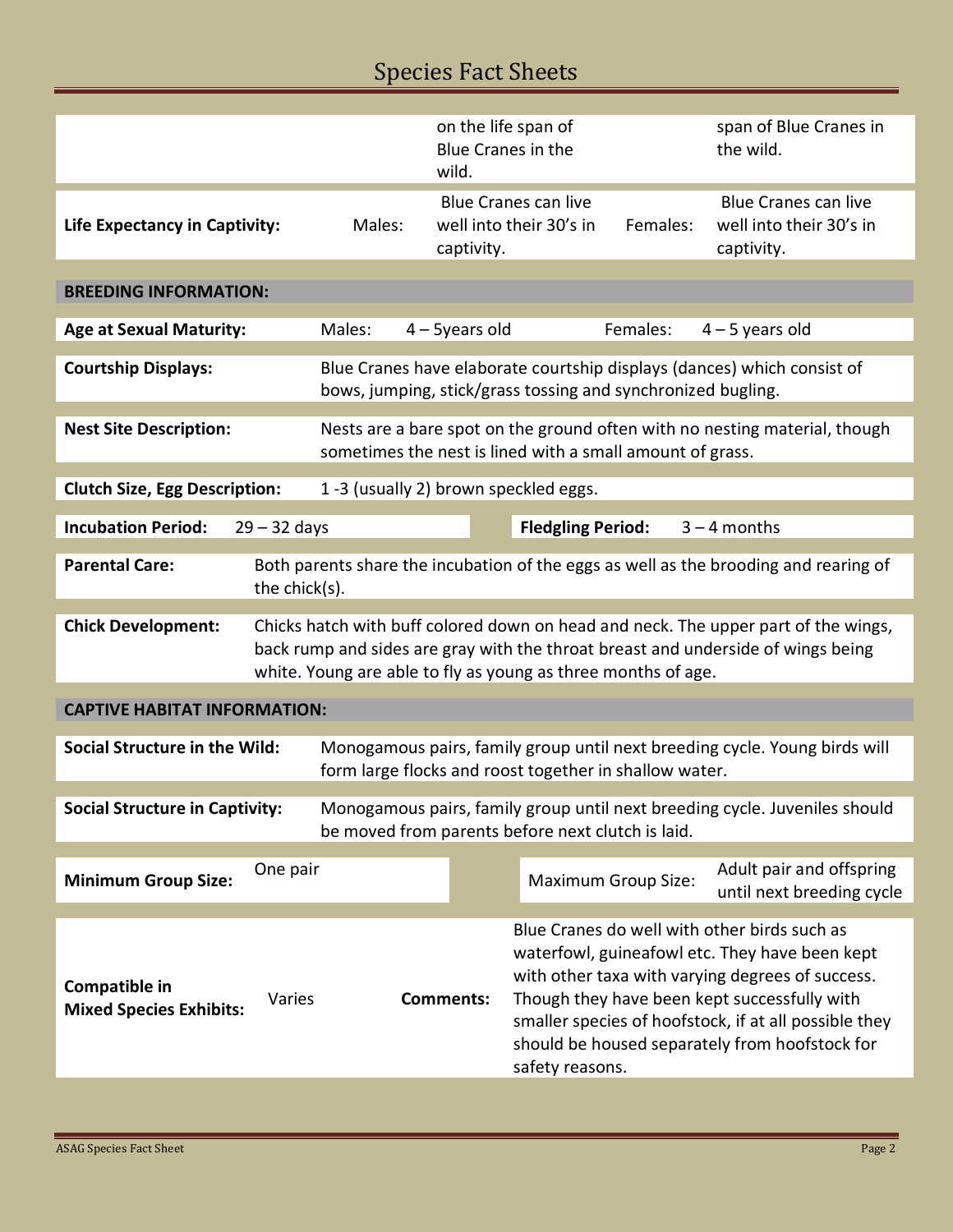## Species Fact Sheets

|                                                                                                                                                                          |                                                                                                                                         |                                                               | wild.                                                  | on the life span of<br><b>Blue Cranes in the</b> |                                                                      | span of Blue Cranes in<br>the wild.                                                                                                                                    |
|--------------------------------------------------------------------------------------------------------------------------------------------------------------------------|-----------------------------------------------------------------------------------------------------------------------------------------|---------------------------------------------------------------|--------------------------------------------------------|--------------------------------------------------|----------------------------------------------------------------------|------------------------------------------------------------------------------------------------------------------------------------------------------------------------|
| Life Expectancy in Captivity:                                                                                                                                            | Males:                                                                                                                                  | captivity.                                                    | <b>Blue Cranes can live</b><br>well into their 30's in | Females:                                         | <b>Blue Cranes can live</b><br>well into their 30's in<br>captivity. |                                                                                                                                                                        |
|                                                                                                                                                                          |                                                                                                                                         |                                                               |                                                        |                                                  |                                                                      |                                                                                                                                                                        |
| <b>BREEDING INFORMATION:</b>                                                                                                                                             |                                                                                                                                         |                                                               |                                                        |                                                  |                                                                      |                                                                                                                                                                        |
| <b>Age at Sexual Maturity:</b>                                                                                                                                           |                                                                                                                                         | Males:                                                        | $4 - 5$ years old                                      |                                                  | Females:                                                             | $4 - 5$ years old                                                                                                                                                      |
| <b>Courtship Displays:</b>                                                                                                                                               |                                                                                                                                         | bows, jumping, stick/grass tossing and synchronized bugling.  |                                                        |                                                  |                                                                      | Blue Cranes have elaborate courtship displays (dances) which consist of                                                                                                |
| <b>Nest Site Description:</b>                                                                                                                                            | Nests are a bare spot on the ground often with no nesting material, though<br>sometimes the nest is lined with a small amount of grass. |                                                               |                                                        |                                                  |                                                                      |                                                                                                                                                                        |
| <b>Clutch Size, Egg Description:</b>                                                                                                                                     |                                                                                                                                         | 1-3 (usually 2) brown speckled eggs.                          |                                                        |                                                  |                                                                      |                                                                                                                                                                        |
|                                                                                                                                                                          |                                                                                                                                         |                                                               |                                                        |                                                  |                                                                      |                                                                                                                                                                        |
| <b>Incubation Period:</b>                                                                                                                                                | $29 - 32$ days                                                                                                                          |                                                               |                                                        | <b>Fledgling Period:</b>                         |                                                                      | $3 - 4$ months                                                                                                                                                         |
| <b>Parental Care:</b>                                                                                                                                                    | the chick(s).                                                                                                                           |                                                               |                                                        |                                                  |                                                                      | Both parents share the incubation of the eggs as well as the brooding and rearing of                                                                                   |
| <b>Chick Development:</b>                                                                                                                                                |                                                                                                                                         | white. Young are able to fly as young as three months of age. |                                                        |                                                  |                                                                      | Chicks hatch with buff colored down on head and neck. The upper part of the wings,<br>back rump and sides are gray with the throat breast and underside of wings being |
| <b>CAPTIVE HABITAT INFORMATION:</b>                                                                                                                                      |                                                                                                                                         |                                                               |                                                        |                                                  |                                                                      |                                                                                                                                                                        |
| Social Structure in the Wild:                                                                                                                                            | Monogamous pairs, family group until next breeding cycle. Young birds will<br>form large flocks and roost together in shallow water.    |                                                               |                                                        |                                                  |                                                                      |                                                                                                                                                                        |
| <b>Social Structure in Captivity:</b><br>Monogamous pairs, family group until next breeding cycle. Juveniles should<br>be moved from parents before next clutch is laid. |                                                                                                                                         |                                                               |                                                        |                                                  |                                                                      |                                                                                                                                                                        |
|                                                                                                                                                                          |                                                                                                                                         |                                                               |                                                        |                                                  |                                                                      |                                                                                                                                                                        |
| <b>Minimum Group Size:</b>                                                                                                                                               | One pair                                                                                                                                |                                                               |                                                        |                                                  | <b>Maximum Group Size:</b>                                           | Adult pair and offspring<br>until next breeding cycle                                                                                                                  |